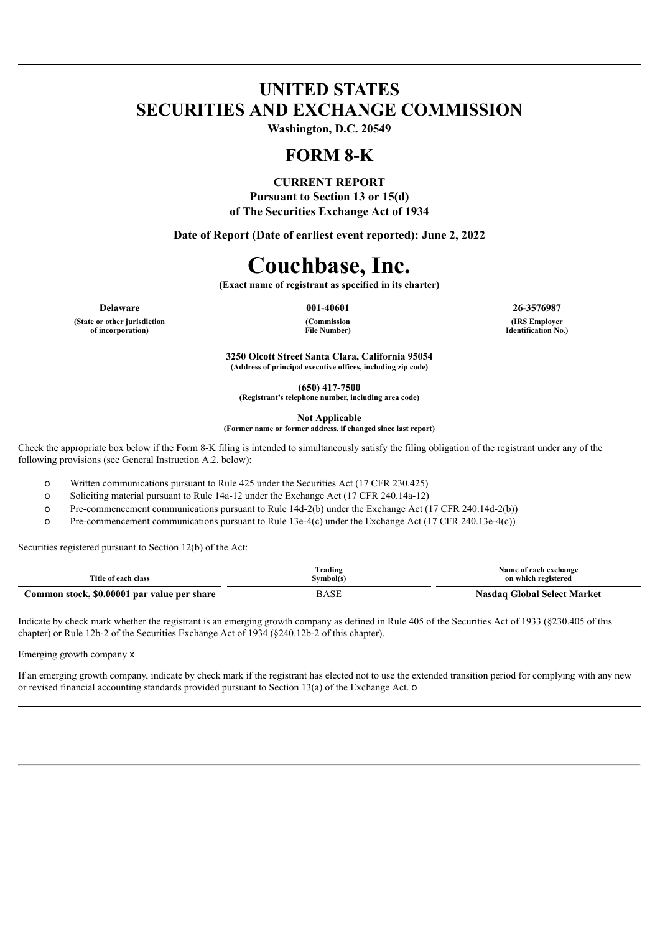# **UNITED STATES SECURITIES AND EXCHANGE COMMISSION**

**Washington, D.C. 20549**

# **FORM 8-K**

**CURRENT REPORT**

**Pursuant to Section 13 or 15(d) of The Securities Exchange Act of 1934**

**Date of Report (Date of earliest event reported): June 2, 2022**

# **Couchbase, Inc.**

**(Exact name of registrant as specified in its charter)**

**Delaware 001-40601 26-3576987 (State or other jurisdiction of incorporation)**

**(Commission File Number)**

**(IRS Employer Identification No.)**

**3250 Olcott Street Santa Clara, California 95054 (Address of principal executive offices, including zip code)**

**(650) 417-7500**

**(Registrant's telephone number, including area code)**

**Not Applicable**

**(Former name or former address, if changed since last report)**

Check the appropriate box below if the Form 8-K filing is intended to simultaneously satisfy the filing obligation of the registrant under any of the following provisions (see General Instruction A.2. below):

o Written communications pursuant to Rule 425 under the Securities Act (17 CFR 230.425)

o Soliciting material pursuant to Rule 14a-12 under the Exchange Act (17 CFR 240.14a-12)

o Pre-commencement communications pursuant to Rule 14d-2(b) under the Exchange Act (17 CFR 240.14d-2(b))

o Pre-commencement communications pursuant to Rule 13e-4(c) under the Exchange Act (17 CFR 240.13e-4(c))

Securities registered pursuant to Section 12(b) of the Act:

| Title of each class                         | Trading<br>Svmbol(s) | Name of each exchange<br>on which registered |
|---------------------------------------------|----------------------|----------------------------------------------|
| Common stock, \$0.00001 par value per share | BASE                 | <b>Nasdaq Global Select Market</b>           |

Indicate by check mark whether the registrant is an emerging growth company as defined in Rule 405 of the Securities Act of 1933 (§230.405 of this chapter) or Rule 12b-2 of the Securities Exchange Act of 1934 (§240.12b-2 of this chapter).

Emerging growth company x

If an emerging growth company, indicate by check mark if the registrant has elected not to use the extended transition period for complying with any new or revised financial accounting standards provided pursuant to Section 13(a) of the Exchange Act. o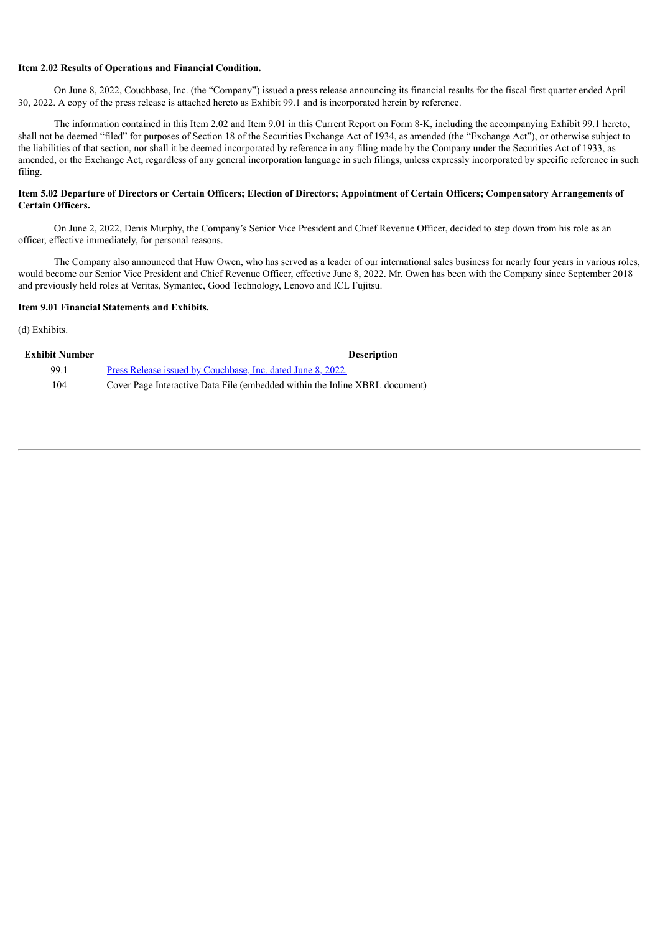#### **Item 2.02 Results of Operations and Financial Condition.**

On June 8, 2022, Couchbase, Inc. (the "Company") issued a press release announcing its financial results for the fiscal first quarter ended April 30, 2022. A copy of the press release is attached hereto as Exhibit 99.1 and is incorporated herein by reference.

The information contained in this Item 2.02 and Item 9.01 in this Current Report on Form 8-K, including the accompanying Exhibit 99.1 hereto, shall not be deemed "filed" for purposes of Section 18 of the Securities Exchange Act of 1934, as amended (the "Exchange Act"), or otherwise subject to the liabilities of that section, nor shall it be deemed incorporated by reference in any filing made by the Company under the Securities Act of 1933, as amended, or the Exchange Act, regardless of any general incorporation language in such filings, unless expressly incorporated by specific reference in such filing.

#### Item 5.02 Departure of Directors or Certain Officers; Election of Directors; Appointment of Certain Officers; Compensatory Arrangements of **Certain Officers.**

On June 2, 2022, Denis Murphy, the Company's Senior Vice President and Chief Revenue Officer, decided to step down from his role as an officer, effective immediately, for personal reasons.

The Company also announced that Huw Owen, who has served as a leader of our international sales business for nearly four years in various roles, would become our Senior Vice President and Chief Revenue Officer, effective June 8, 2022. Mr. Owen has been with the Company since September 2018 and previously held roles at Veritas, Symantec, Good Technology, Lenovo and ICL Fujitsu.

#### **Item 9.01 Financial Statements and Exhibits.**

(d) Exhibits.

| Exhibit Number | <b>Description</b>                                                          |
|----------------|-----------------------------------------------------------------------------|
| 99.1           | Press Release issued by Couchbase, Inc. dated June 8, 2022.                 |
| 104            | Cover Page Interactive Data File (embedded within the Inline XBRL document) |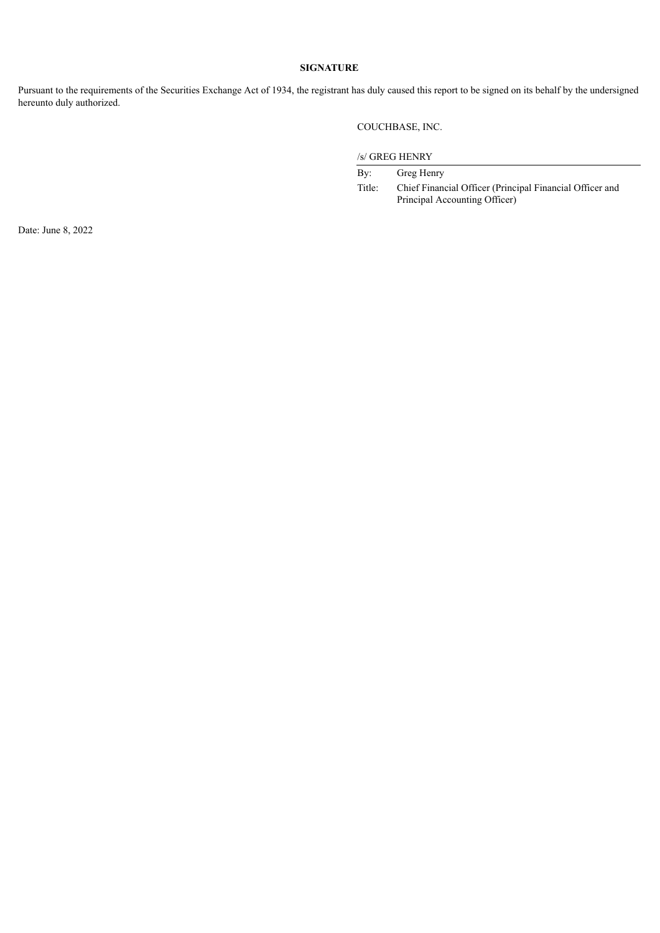#### **SIGNATURE**

Pursuant to the requirements of the Securities Exchange Act of 1934, the registrant has duly caused this report to be signed on its behalf by the undersigned hereunto duly authorized.

#### COUCHBASE, INC.

/s/ GREG HENRY

By: Greg Henry

Title: Chief Financial Officer (Principal Financial Officer and Principal Accounting Officer)

Date: June 8, 2022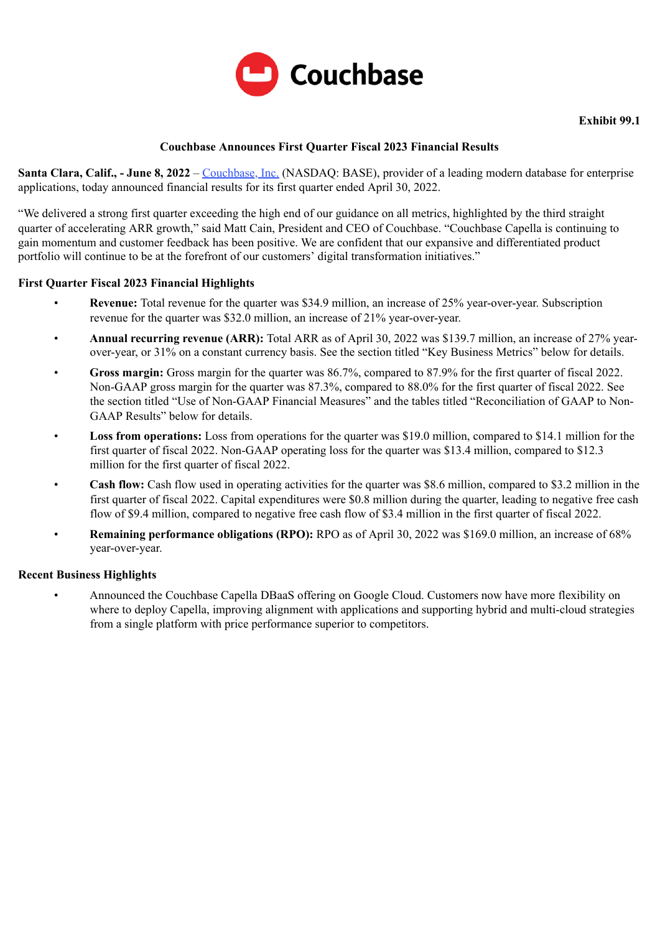

#### **Couchbase Announces First Quarter Fiscal 2023 Financial Results**

<span id="page-3-0"></span>**Santa Clara, Calif., - June 8, 2022** – Couchbase, Inc. (NASDAQ: BASE), provider of a leading modern database for enterprise applications, today announced financial results for its first quarter ended April 30, 2022.

"We delivered a strong first quarter exceeding the high end of our guidance on all metrics, highlighted by the third straight quarter of accelerating ARR growth," said Matt Cain, President and CEO of Couchbase. "Couchbase Capella is continuing to gain momentum and customer feedback has been positive. We are confident that our expansive and differentiated product portfolio will continue to be at the forefront of our customers' digital transformation initiatives."

#### **First Quarter Fiscal 2023 Financial Highlights**

- **Revenue:** Total revenue for the quarter was \$34.9 million, an increase of 25% year-over-year. Subscription revenue for the quarter was \$32.0 million, an increase of 21% year-over-year.
- **Annual recurring revenue (ARR):** Total ARR as of April 30, 2022 was \$139.7 million, an increase of 27% yearover-year, or 31% on a constant currency basis. See the section titled "Key Business Metrics" below for details.
- **Gross margin:** Gross margin for the quarter was 86.7%, compared to 87.9% for the first quarter of fiscal 2022. Non-GAAP gross margin for the quarter was 87.3%, compared to 88.0% for the first quarter of fiscal 2022. See the section titled "Use of Non-GAAP Financial Measures" and the tables titled "Reconciliation of GAAP to Non-GAAP Results" below for details.
- **Loss from operations:** Loss from operations for the quarter was \$19.0 million, compared to \$14.1 million for the first quarter of fiscal 2022. Non-GAAP operating loss for the quarter was \$13.4 million, compared to \$12.3 million for the first quarter of fiscal 2022.
- **Cash flow:** Cash flow used in operating activities for the quarter was \$8.6 million, compared to \$3.2 million in the first quarter of fiscal 2022. Capital expenditures were \$0.8 million during the quarter, leading to negative free cash flow of \$9.4 million, compared to negative free cash flow of \$3.4 million in the first quarter of fiscal 2022.
- **Remaining performance obligations (RPO):** RPO as of April 30, 2022 was \$169.0 million, an increase of 68% year-over-year.

#### **Recent Business Highlights**

• Announced the Couchbase Capella DBaaS offering on Google Cloud. Customers now have more flexibility on where to deploy Capella, improving alignment with applications and supporting hybrid and multi-cloud strategies from a single platform with price performance superior to competitors.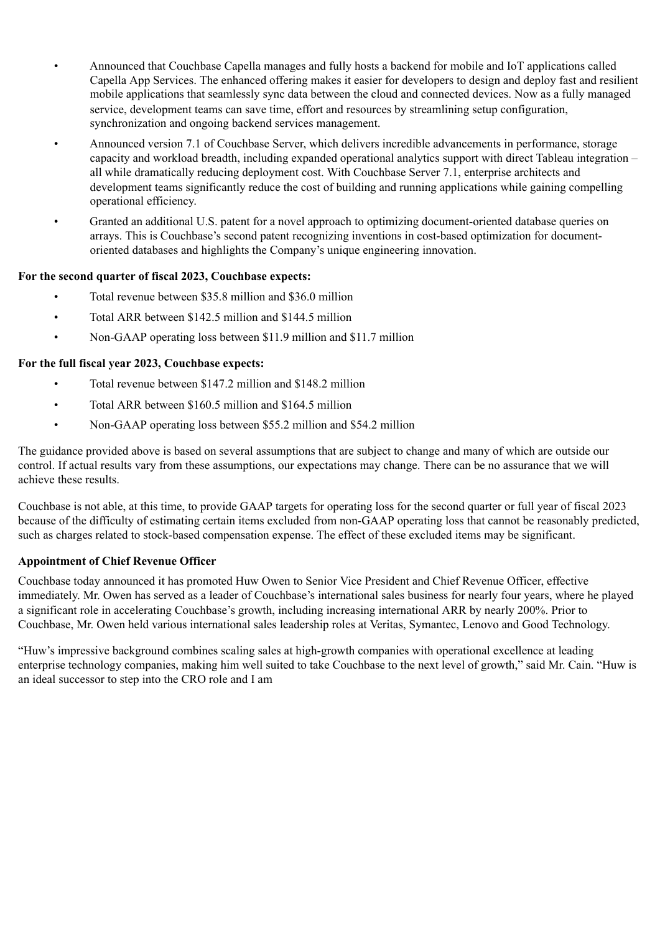- Announced that Couchbase Capella manages and fully hosts a backend for mobile and IoT applications called Capella App Services. The enhanced offering makes it easier for developers to design and deploy fast and resilient mobile applications that seamlessly sync data between the cloud and connected devices. Now as a fully managed service, development teams can save time, effort and resources by streamlining setup configuration synchronization and ongoing backend services management.
- Announced version 7.1 of Couchbase Server, which delivers incredible advancements in performance, storage capacity and workload breadth, including expanded operational analytics support with direct Tableau integration – all while dramatically reducing deployment cost. With Couchbase Server 7.1, enterprise architects and development teams significantly reduce the cost of building and running applications while gaining compelling operational efficiency.
- Granted an additional U.S. patent for a novel approach to optimizing document-oriented database queries on arrays. This is Couchbase's second patent recognizing inventions in cost-based optimization for documentoriented databases and highlights the Company's unique engineering innovation.

### **For the second quarter of fiscal 2023, Couchbase expects:**

- Total revenue between \$35.8 million and \$36.0 million
- Total ARR between \$142.5 million and \$144.5 million
- Non-GAAP operating loss between \$11.9 million and \$11.7 million

### **For the full fiscal year 2023, Couchbase expects:**

- Total revenue between \$147.2 million and \$148.2 million
- Total ARR between \$160.5 million and \$164.5 million
- Non-GAAP operating loss between \$55.2 million and \$54.2 million

The guidance provided above is based on several assumptions that are subject to change and many of which are outside our control. If actual results vary from these assumptions, our expectations may change. There can be no assurance that we will achieve these results.

Couchbase is not able, at this time, to provide GAAP targets for operating loss for the second quarter or full year of fiscal 2023 because of the difficulty of estimating certain items excluded from non-GAAP operating loss that cannot be reasonably predicted, such as charges related to stock-based compensation expense. The effect of these excluded items may be significant.

### **Appointment of Chief Revenue Officer**

Couchbase today announced it has promoted Huw Owen to Senior Vice President and Chief Revenue Officer, effective immediately. Mr. Owen has served as a leader of Couchbase's international sales business for nearly four years, where he played a significant role in accelerating Couchbase's growth, including increasing international ARR by nearly 200%. Prior to Couchbase, Mr. Owen held various international sales leadership roles at Veritas, Symantec, Lenovo and Good Technology.

"Huw's impressive background combines scaling sales at high-growth companies with operational excellence at leading enterprise technology companies, making him well suited to take Couchbase to the next level of growth," said Mr. Cain. "Huw is an ideal successor to step into the CRO role and I am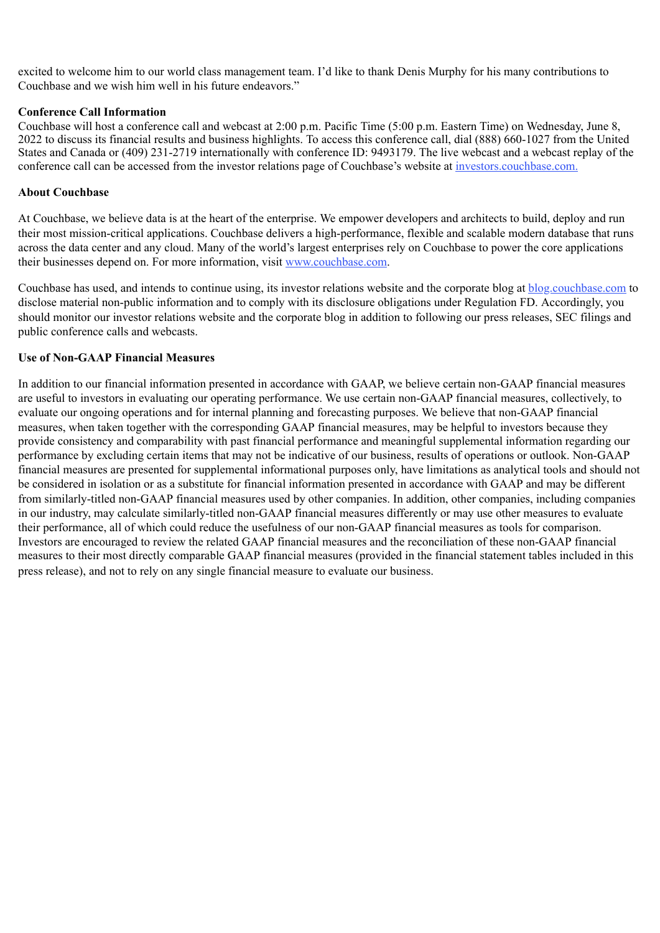excited to welcome him to our world class management team. I'd like to thank Denis Murphy for his many contributions to Couchbase and we wish him well in his future endeavors."

#### **Conference Call Information**

Couchbase will host a conference call and webcast at 2:00 p.m. Pacific Time (5:00 p.m. Eastern Time) on Wednesday, June 8, 2022 to discuss its financial results and business highlights. To access this conference call, dial (888) 660-1027 from the United States and Canada or (409) 231-2719 internationally with conference ID: 9493179. The live webcast and a webcast replay of the conference call can be accessed from the investor relations page of Couchbase's website at investors.couchbase.com.

#### **About Couchbase**

At Couchbase, we believe data is at the heart of the enterprise. We empower developers and architects to build, deploy and run their most mission-critical applications. Couchbase delivers a high-performance, flexible and scalable modern database that runs across the data center and any cloud. Many of the world's largest enterprises rely on Couchbase to power the core applications their businesses depend on. For more information, visit www.couchbase.com.

Couchbase has used, and intends to continue using, its investor relations website and the corporate blog at blog.couchbase.com to disclose material non-public information and to comply with its disclosure obligations under Regulation FD. Accordingly, you should monitor our investor relations website and the corporate blog in addition to following our press releases, SEC filings and public conference calls and webcasts.

#### **Use of Non-GAAP Financial Measures**

In addition to our financial information presented in accordance with GAAP, we believe certain non-GAAP financial measures are useful to investors in evaluating our operating performance. We use certain non-GAAP financial measures, collectively, to evaluate our ongoing operations and for internal planning and forecasting purposes. We believe that non-GAAP financial measures, when taken together with the corresponding GAAP financial measures, may be helpful to investors because they provide consistency and comparability with past financial performance and meaningful supplemental information regarding our performance by excluding certain items that may not be indicative of our business, results of operations or outlook. Non-GAAP financial measures are presented for supplemental informational purposes only, have limitations as analytical tools and should not be considered in isolation or as a substitute for financial information presented in accordance with GAAP and may be different from similarly-titled non-GAAP financial measures used by other companies. In addition, other companies, including companies in our industry, may calculate similarly-titled non-GAAP financial measures differently or may use other measures to evaluate their performance, all of which could reduce the usefulness of our non-GAAP financial measures as tools for comparison. Investors are encouraged to review the related GAAP financial measures and the reconciliation of these non-GAAP financial measures to their most directly comparable GAAP financial measures (provided in the financial statement tables included in this press release), and not to rely on any single financial measure to evaluate our business.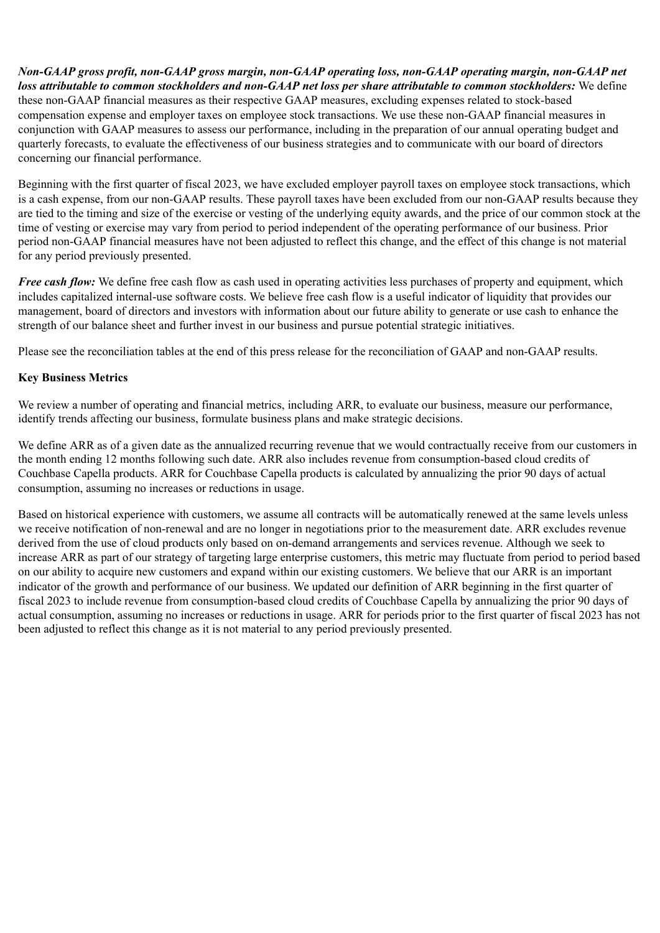#### *Non-GAAP gross profit, non-GAAP gross margin, non-GAAP operating loss, non-GAAP operating margin, non-GAAP net loss attributable to common stockholders and non-GAAP net loss per share attributable to common stockholders:* We define

these non-GAAP financial measures as their respective GAAP measures, excluding expenses related to stock-based compensation expense and employer taxes on employee stock transactions. We use these non-GAAP financial measures in conjunction with GAAP measures to assess our performance, including in the preparation of our annual operating budget and quarterly forecasts, to evaluate the effectiveness of our business strategies and to communicate with our board of directors concerning our financial performance.

Beginning with the first quarter of fiscal 2023, we have excluded employer payroll taxes on employee stock transactions, which is a cash expense, from our non-GAAP results. These payroll taxes have been excluded from our non-GAAP results because they are tied to the timing and size of the exercise or vesting of the underlying equity awards, and the price of our common stock at the time of vesting or exercise may vary from period to period independent of the operating performance of our business. Prior period non-GAAP financial measures have not been adjusted to reflect this change, and the effect of this change is not material for any period previously presented.

*Free cash flow:* We define free cash flow as cash used in operating activities less purchases of property and equipment, which includes capitalized internal-use software costs. We believe free cash flow is a useful indicator of liquidity that provides our management, board of directors and investors with information about our future ability to generate or use cash to enhance the strength of our balance sheet and further invest in our business and pursue potential strategic initiatives.

Please see the reconciliation tables at the end of this press release for the reconciliation of GAAP and non-GAAP results.

## **Key Business Metrics**

We review a number of operating and financial metrics, including ARR, to evaluate our business, measure our performance, identify trends affecting our business, formulate business plans and make strategic decisions.

We define ARR as of a given date as the annualized recurring revenue that we would contractually receive from our customers in the month ending 12 months following such date. ARR also includes revenue from consumption-based cloud credits of Couchbase Capella products. ARR for Couchbase Capella products is calculated by annualizing the prior 90 days of actual consumption, assuming no increases or reductions in usage.

Based on historical experience with customers, we assume all contracts will be automatically renewed at the same levels unless we receive notification of non-renewal and are no longer in negotiations prior to the measurement date. ARR excludes revenue derived from the use of cloud products only based on on-demand arrangements and services revenue. Although we seek to increase ARR as part of our strategy of targeting large enterprise customers, this metric may fluctuate from period to period based on our ability to acquire new customers and expand within our existing customers. We believe that our ARR is an important indicator of the growth and performance of our business. We updated our definition of ARR beginning in the first quarter of fiscal 2023 to include revenue from consumption-based cloud credits of Couchbase Capella by annualizing the prior 90 days of actual consumption, assuming no increases or reductions in usage. ARR for periods prior to the first quarter of fiscal 2023 has not been adjusted to reflect this change as it is not material to any period previously presented.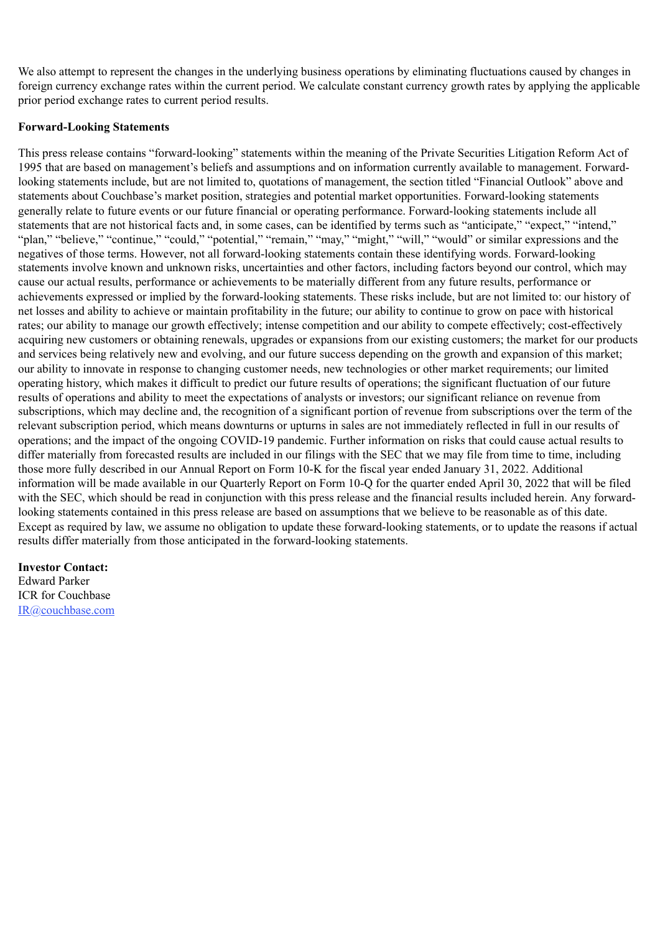We also attempt to represent the changes in the underlying business operations by eliminating fluctuations caused by changes in foreign currency exchange rates within the current period. We calculate constant currency growth rates by applying the applicable prior period exchange rates to current period results.

#### **Forward-Looking Statements**

This press release contains "forward-looking" statements within the meaning of the Private Securities Litigation Reform Act of 1995 that are based on management's beliefs and assumptions and on information currently available to management. Forwardlooking statements include, but are not limited to, quotations of management, the section titled "Financial Outlook" above and statements about Couchbase's market position, strategies and potential market opportunities. Forward-looking statements generally relate to future events or our future financial or operating performance. Forward-looking statements include all statements that are not historical facts and, in some cases, can be identified by terms such as "anticipate," "expect," "intend," "plan," "believe," "continue," "could," "potential," "remain," "may," "might," "will," "would" or similar expressions and the negatives of those terms. However, not all forward-looking statements contain these identifying words. Forward-looking statements involve known and unknown risks, uncertainties and other factors, including factors beyond our control, which may cause our actual results, performance or achievements to be materially different from any future results, performance or achievements expressed or implied by the forward-looking statements. These risks include, but are not limited to: our history of net losses and ability to achieve or maintain profitability in the future; our ability to continue to grow on pace with historical rates; our ability to manage our growth effectively; intense competition and our ability to compete effectively; cost-effectively acquiring new customers or obtaining renewals, upgrades or expansions from our existing customers; the market for our products and services being relatively new and evolving, and our future success depending on the growth and expansion of this market; our ability to innovate in response to changing customer needs, new technologies or other market requirements; our limited operating history, which makes it difficult to predict our future results of operations; the significant fluctuation of our future results of operations and ability to meet the expectations of analysts or investors; our significant reliance on revenue from subscriptions, which may decline and, the recognition of a significant portion of revenue from subscriptions over the term of the relevant subscription period, which means downturns or upturns in sales are not immediately reflected in full in our results of operations; and the impact of the ongoing COVID-19 pandemic. Further information on risks that could cause actual results to differ materially from forecasted results are included in our filings with the SEC that we may file from time to time, including those more fully described in our Annual Report on Form 10-K for the fiscal year ended January 31, 2022. Additional information will be made available in our Quarterly Report on Form 10-Q for the quarter ended April 30, 2022 that will be filed with the SEC, which should be read in conjunction with this press release and the financial results included herein. Any forwardlooking statements contained in this press release are based on assumptions that we believe to be reasonable as of this date. Except as required by law, we assume no obligation to update these forward-looking statements, or to update the reasons if actual results differ materially from those anticipated in the forward-looking statements.

**Investor Contact:** Edward Parker ICR for Couchbase IR@couchbase.com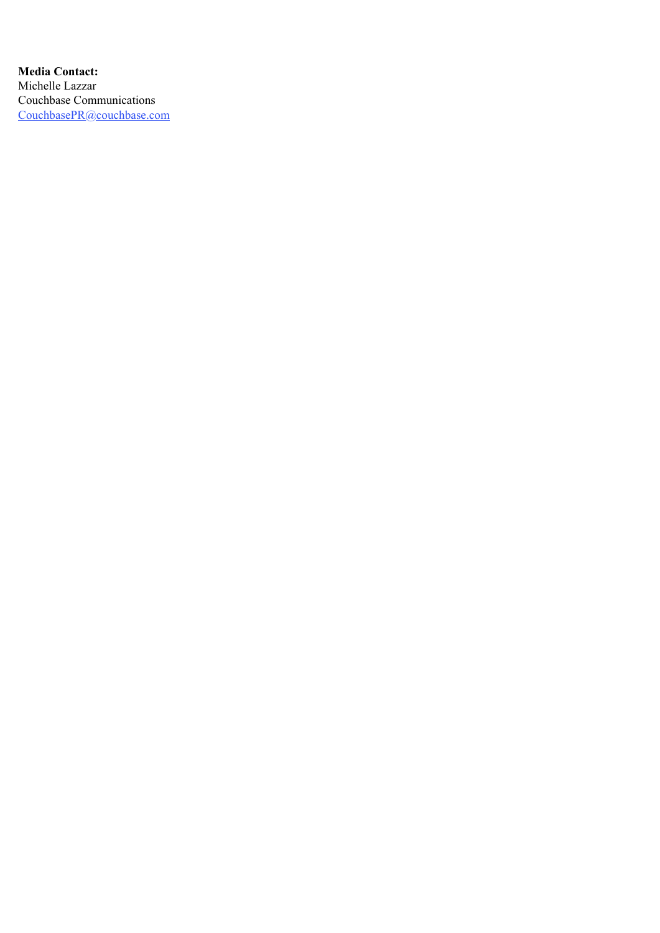**Media Contact:** Michelle Lazzar Couchbase Communications CouchbasePR@couchbase.com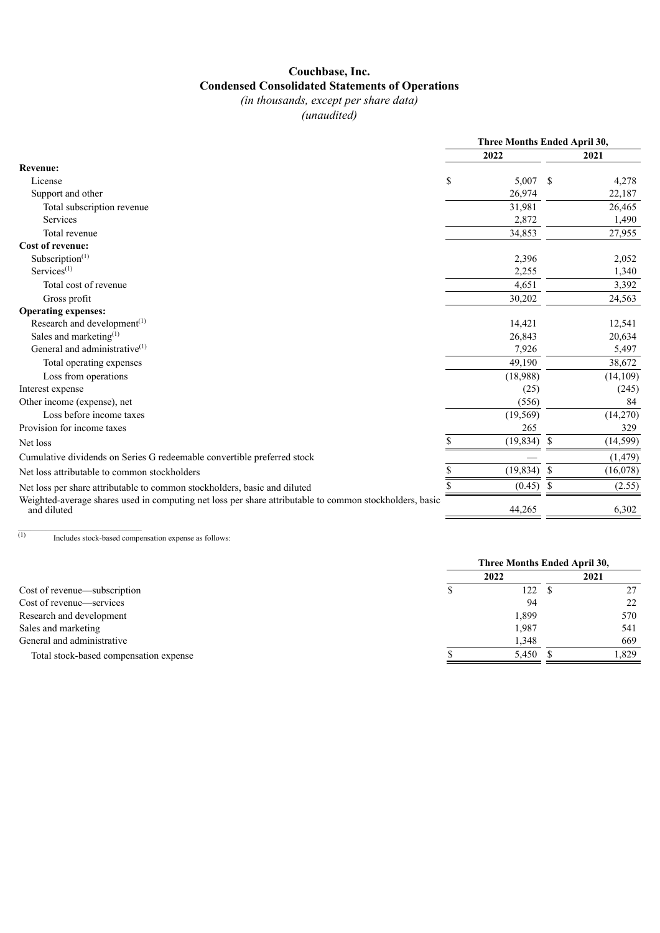# **Couchbase, Inc. Condensed Consolidated Statements of Operations**

*(in thousands, except per share data)*

*(unaudited)*

|                                                                                                                        | Three Months Ended April 30, |            |               |           |
|------------------------------------------------------------------------------------------------------------------------|------------------------------|------------|---------------|-----------|
|                                                                                                                        |                              | 2022       |               | 2021      |
| <b>Revenue:</b>                                                                                                        |                              |            |               |           |
| License                                                                                                                | \$                           | $5,007$ \$ |               | 4,278     |
| Support and other                                                                                                      |                              | 26,974     |               | 22,187    |
| Total subscription revenue                                                                                             |                              | 31,981     |               | 26,465    |
| Services                                                                                                               |                              | 2,872      |               | 1,490     |
| Total revenue                                                                                                          |                              | 34,853     |               | 27,955    |
| Cost of revenue:                                                                                                       |                              |            |               |           |
| Subscription $(1)$                                                                                                     |                              | 2,396      |               | 2,052     |
| Services <sup>(1)</sup>                                                                                                |                              | 2,255      |               | 1,340     |
| Total cost of revenue                                                                                                  |                              | 4,651      |               | 3,392     |
| Gross profit                                                                                                           |                              | 30,202     |               | 24,563    |
| <b>Operating expenses:</b>                                                                                             |                              |            |               |           |
| Research and development <sup>(1)</sup>                                                                                |                              | 14,421     |               | 12,541    |
| Sales and marketing <sup>(1)</sup>                                                                                     |                              | 26,843     |               | 20,634    |
| General and administrative <sup>(1)</sup>                                                                              |                              | 7,926      |               | 5,497     |
| Total operating expenses                                                                                               |                              | 49,190     |               | 38,672    |
| Loss from operations                                                                                                   |                              | (18,988)   |               | (14, 109) |
| Interest expense                                                                                                       |                              | (25)       |               | (245)     |
| Other income (expense), net                                                                                            |                              | (556)      |               | 84        |
| Loss before income taxes                                                                                               |                              | (19, 569)  |               | (14,270)  |
| Provision for income taxes                                                                                             |                              | 265        |               | 329       |
| Net loss                                                                                                               |                              | (19, 834)  | <sup>\$</sup> | (14, 599) |
| Cumulative dividends on Series G redeemable convertible preferred stock                                                |                              |            |               | (1, 479)  |
| Net loss attributable to common stockholders                                                                           |                              | (19, 834)  | \$            | (16,078)  |
| Net loss per share attributable to common stockholders, basic and diluted                                              |                              | (0.45)     | -S            | (2.55)    |
| Weighted-average shares used in computing net loss per share attributable to common stockholders, basic<br>and diluted |                              | 44,265     |               | 6,302     |

Includes stock-based compensation expense as follows:  $\overline{(1)}$ 

|                                        | Three Months Ended April 30, |       |  |      |  |  |  |
|----------------------------------------|------------------------------|-------|--|------|--|--|--|
|                                        | 2022                         |       |  | 2021 |  |  |  |
| Cost of revenue—subscription           |                              | 122   |  |      |  |  |  |
| Cost of revenue—services               |                              | 94    |  |      |  |  |  |
| Research and development               |                              | 1,899 |  | 570  |  |  |  |
| Sales and marketing                    |                              | 1,987 |  | 541  |  |  |  |
| General and administrative             |                              | 1.348 |  | 669  |  |  |  |
| Total stock-based compensation expense |                              | 5.450 |  | .829 |  |  |  |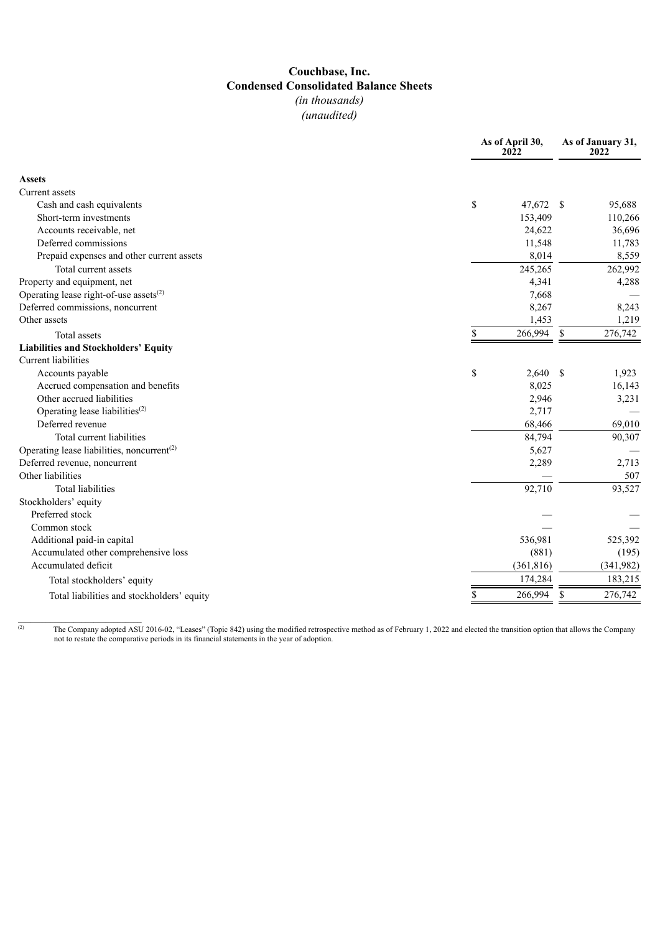#### **Couchbase, Inc. Condensed Consolidated Balance Sheets** *(in thousands) (unaudited)*

|                                                        | As of April 30,<br>2022 |      | As of January 31,<br>2022 |
|--------------------------------------------------------|-------------------------|------|---------------------------|
| <b>Assets</b>                                          |                         |      |                           |
| Current assets                                         |                         |      |                           |
| Cash and cash equivalents                              | \$<br>47,672 \$         |      | 95,688                    |
| Short-term investments                                 | 153,409                 |      | 110,266                   |
| Accounts receivable, net                               | 24,622                  |      | 36,696                    |
| Deferred commissions                                   | 11,548                  |      | 11,783                    |
| Prepaid expenses and other current assets              | 8,014                   |      | 8,559                     |
| Total current assets                                   | 245,265                 |      | 262,992                   |
| Property and equipment, net                            | 4,341                   |      | 4,288                     |
| Operating lease right-of-use assets <sup>(2)</sup>     | 7,668                   |      |                           |
| Deferred commissions, noncurrent                       | 8,267                   |      | 8,243                     |
| Other assets                                           | 1,453                   |      | 1,219                     |
| Total assets                                           | \$<br>266,994           | $\$$ | 276,742                   |
| <b>Liabilities and Stockholders' Equity</b>            |                         |      |                           |
| <b>Current</b> liabilities                             |                         |      |                           |
| Accounts payable                                       | \$<br>2,640             | - \$ | 1,923                     |
| Accrued compensation and benefits                      | 8,025                   |      | 16,143                    |
| Other accrued liabilities                              | 2,946                   |      | 3,231                     |
| Operating lease liabilities $^{(2)}$                   | 2,717                   |      |                           |
| Deferred revenue                                       | 68,466                  |      | 69,010                    |
| Total current liabilities                              | 84,794                  |      | 90,307                    |
| Operating lease liabilities, noncurrent <sup>(2)</sup> | 5,627                   |      |                           |
| Deferred revenue, noncurrent                           | 2,289                   |      | 2,713                     |
| Other liabilities                                      |                         |      | 507                       |
| <b>Total liabilities</b>                               | 92,710                  |      | 93,527                    |
| Stockholders' equity                                   |                         |      |                           |
| Preferred stock                                        |                         |      |                           |
| Common stock                                           |                         |      |                           |
| Additional paid-in capital                             | 536,981                 |      | 525,392                   |
| Accumulated other comprehensive loss                   | (881)                   |      | (195)                     |
| Accumulated deficit                                    | (361, 816)              |      | (341,982)                 |
| Total stockholders' equity                             | 174,284                 |      | 183,215                   |
| Total liabilities and stockholders' equity             | \$<br>266,994           | \$   | 276,742                   |

The Company adopted ASU 2016-02, "Leases" (Topic 842) using the modified retrospective method as of February 1, 2022 and elected the transition option that allows the Company not to restate the comparative periods in its financial statements in the year of adoption.  $\overline{(2)}$ 

\_\_\_\_\_\_\_\_\_\_\_\_\_\_\_\_\_\_\_\_\_\_\_\_\_\_\_\_\_\_\_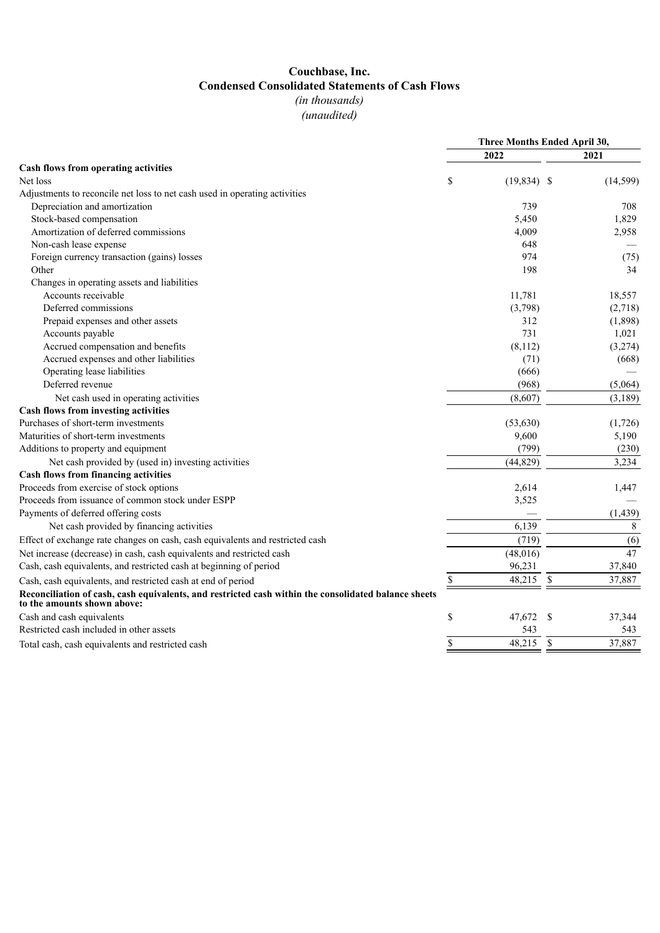## **Couchbase, Inc. Condensed Consolidated Statements of Cash Flows** *(in thousands)*

*(unaudited)*

|                                                                                                      | Three Months Ended April 30, |                     |             |           |  |  |  |
|------------------------------------------------------------------------------------------------------|------------------------------|---------------------|-------------|-----------|--|--|--|
|                                                                                                      |                              | 2022                |             | 2021      |  |  |  |
| Cash flows from operating activities                                                                 |                              |                     |             |           |  |  |  |
| Net loss                                                                                             | \$                           | $(19,834)$ \$       |             | (14, 599) |  |  |  |
| Adjustments to reconcile net loss to net cash used in operating activities                           |                              |                     |             |           |  |  |  |
| Depreciation and amortization                                                                        |                              | 739                 |             | 708       |  |  |  |
| Stock-based compensation                                                                             |                              | 5,450               |             | 1,829     |  |  |  |
| Amortization of deferred commissions                                                                 |                              | 4,009               |             | 2,958     |  |  |  |
| Non-cash lease expense                                                                               |                              | 648                 |             |           |  |  |  |
| Foreign currency transaction (gains) losses                                                          |                              | 974                 |             | (75)      |  |  |  |
| Other                                                                                                |                              | 198                 |             | 34        |  |  |  |
| Changes in operating assets and liabilities                                                          |                              |                     |             |           |  |  |  |
| Accounts receivable                                                                                  |                              | 11,781              |             | 18,557    |  |  |  |
| Deferred commissions                                                                                 |                              | (3,798)             |             | (2,718)   |  |  |  |
| Prepaid expenses and other assets                                                                    |                              | 312                 |             | (1,898)   |  |  |  |
| Accounts payable                                                                                     |                              | 731                 |             | 1,021     |  |  |  |
| Accrued compensation and benefits                                                                    |                              | (8, 112)            |             | (3,274)   |  |  |  |
| Accrued expenses and other liabilities                                                               |                              | (71)                |             | (668)     |  |  |  |
| Operating lease liabilities                                                                          |                              | (666)               |             |           |  |  |  |
| Deferred revenue                                                                                     |                              | (968)               |             | (5,064)   |  |  |  |
| Net cash used in operating activities                                                                |                              | (8,607)             |             | (3,189)   |  |  |  |
| <b>Cash flows from investing activities</b>                                                          |                              |                     |             |           |  |  |  |
| Purchases of short-term investments                                                                  |                              | (53, 630)           |             | (1,726)   |  |  |  |
| Maturities of short-term investments                                                                 |                              | 9,600               |             | 5,190     |  |  |  |
| Additions to property and equipment                                                                  |                              | (799)               |             | (230)     |  |  |  |
| Net cash provided by (used in) investing activities                                                  |                              | (44, 829)           |             | 3,234     |  |  |  |
| <b>Cash flows from financing activities</b>                                                          |                              |                     |             |           |  |  |  |
| Proceeds from exercise of stock options                                                              |                              | 2,614               |             | 1,447     |  |  |  |
| Proceeds from issuance of common stock under ESPP                                                    |                              | 3,525               |             |           |  |  |  |
| Payments of deferred offering costs                                                                  |                              |                     |             | (1, 439)  |  |  |  |
| Net cash provided by financing activities                                                            |                              | 6,139               |             | 8         |  |  |  |
| Effect of exchange rate changes on cash, cash equivalents and restricted cash                        |                              | (719)               |             | (6)       |  |  |  |
| Net increase (decrease) in cash, cash equivalents and restricted cash                                |                              | (48,016)            |             | 47        |  |  |  |
| Cash, cash equivalents, and restricted cash at beginning of period                                   |                              | 96,231              |             | 37,840    |  |  |  |
| Cash, cash equivalents, and restricted cash at end of period                                         | \$                           | $\overline{48,215}$ | $\mathbb S$ | 37,887    |  |  |  |
| Reconciliation of cash, cash equivalents, and restricted cash within the consolidated balance sheets |                              |                     |             |           |  |  |  |
| to the amounts shown above:                                                                          |                              |                     |             |           |  |  |  |
| Cash and cash equivalents                                                                            | \$                           | 47,672 \$           |             | 37,344    |  |  |  |
| Restricted cash included in other assets                                                             |                              | 543                 |             | 543       |  |  |  |
| Total cash, cash equivalents and restricted cash                                                     | \$                           | 48,215              | $\$$        | 37,887    |  |  |  |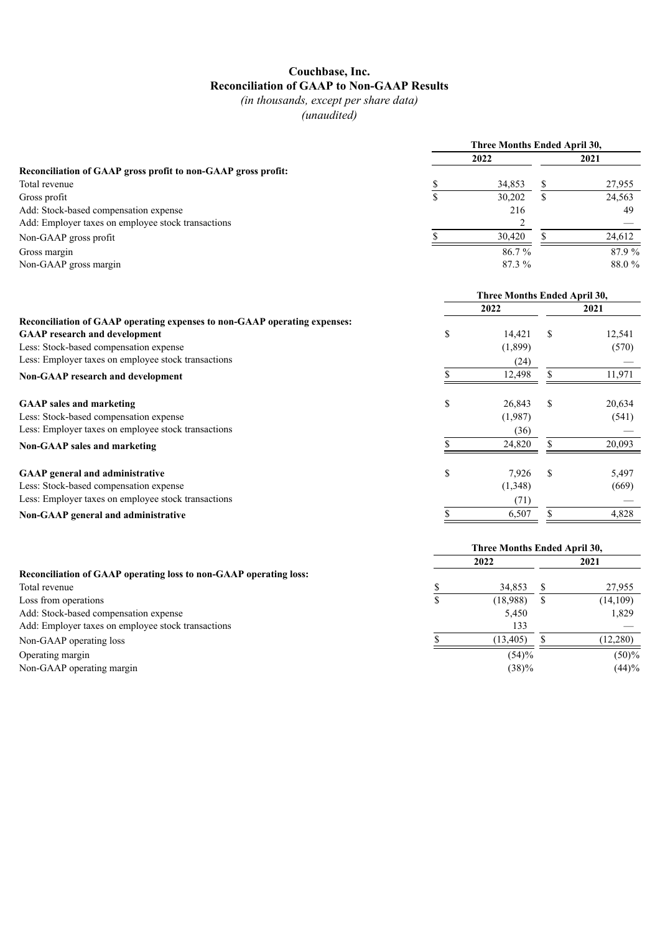# **Couchbase, Inc. Reconciliation of GAAP to Non-GAAP Results**

*(in thousands, except per share data)*

*(unaudited)*

|                                                               | Three Months Ended April 30, |        |  |        |  |  |  |
|---------------------------------------------------------------|------------------------------|--------|--|--------|--|--|--|
|                                                               | 2022                         |        |  | 2021   |  |  |  |
| Reconciliation of GAAP gross profit to non-GAAP gross profit: |                              |        |  |        |  |  |  |
| Total revenue                                                 |                              | 34,853 |  | 27,955 |  |  |  |
| Gross profit                                                  |                              | 30,202 |  | 24,563 |  |  |  |
| Add: Stock-based compensation expense                         |                              | 216    |  | 49     |  |  |  |
| Add: Employer taxes on employee stock transactions            |                              |        |  |        |  |  |  |
| Non-GAAP gross profit                                         |                              | 30.420 |  | 24.612 |  |  |  |
| Gross margin                                                  |                              | 86.7 % |  | 87.9 % |  |  |  |
| Non-GAAP gross margin                                         |                              | 87.3 % |  | 88.0 % |  |  |  |

|                                                                           | Three Months Ended April 30, |         |               |        |  |  |  |
|---------------------------------------------------------------------------|------------------------------|---------|---------------|--------|--|--|--|
|                                                                           | 2022                         |         |               | 2021   |  |  |  |
| Reconciliation of GAAP operating expenses to non-GAAP operating expenses: |                              |         |               |        |  |  |  |
| <b>GAAP</b> research and development                                      | \$                           | 14,421  | \$.           | 12,541 |  |  |  |
| Less: Stock-based compensation expense                                    |                              | (1,899) |               | (570)  |  |  |  |
| Less: Employer taxes on employee stock transactions                       |                              | (24)    |               |        |  |  |  |
| <b>Non-GAAP</b> research and development                                  |                              | 12,498  |               | 11,971 |  |  |  |
| <b>GAAP</b> sales and marketing                                           | \$                           | 26,843  | \$.           | 20,634 |  |  |  |
| Less: Stock-based compensation expense                                    |                              | (1,987) |               | (541)  |  |  |  |
| Less: Employer taxes on employee stock transactions                       |                              | (36)    |               |        |  |  |  |
| Non-GAAP sales and marketing                                              |                              | 24,820  |               | 20,093 |  |  |  |
| <b>GAAP</b> general and administrative                                    | \$                           | 7,926   | <sup>\$</sup> | 5,497  |  |  |  |
| Less: Stock-based compensation expense                                    |                              | (1,348) |               | (669)  |  |  |  |
| Less: Employer taxes on employee stock transactions                       |                              | (71)    |               |        |  |  |  |
| Non-GAAP general and administrative                                       |                              | 6,507   |               | 4,828  |  |  |  |

|                                                                   | Three Months Ended April 30, |           |  |           |  |  |  |
|-------------------------------------------------------------------|------------------------------|-----------|--|-----------|--|--|--|
|                                                                   | 2022                         |           |  | 2021      |  |  |  |
| Reconciliation of GAAP operating loss to non-GAAP operating loss: |                              |           |  |           |  |  |  |
| Total revenue                                                     |                              | 34,853    |  | 27,955    |  |  |  |
| Loss from operations                                              |                              | (18,988)  |  | (14, 109) |  |  |  |
| Add: Stock-based compensation expense                             |                              | 5,450     |  | 1,829     |  |  |  |
| Add: Employer taxes on employee stock transactions                |                              | 133       |  |           |  |  |  |
| Non-GAAP operating loss                                           |                              | (13, 405) |  | (12, 280) |  |  |  |
| Operating margin                                                  |                              | (54)%     |  | $(50)\%$  |  |  |  |
| Non-GAAP operating margin                                         |                              | (38)%     |  | (44)%     |  |  |  |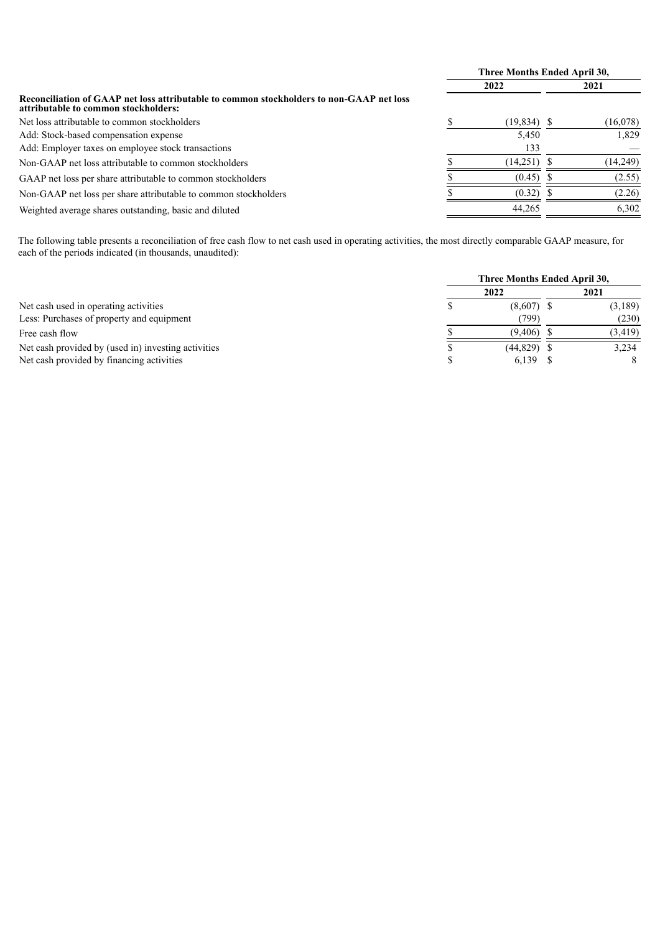|                                                                                                                                  | Three Months Ended April 30, |               |  |          |  |  |  |
|----------------------------------------------------------------------------------------------------------------------------------|------------------------------|---------------|--|----------|--|--|--|
|                                                                                                                                  |                              | 2022          |  | 2021     |  |  |  |
| Reconciliation of GAAP net loss attributable to common stockholders to non-GAAP net loss<br>attributable to common stockholders: |                              |               |  |          |  |  |  |
| Net loss attributable to common stockholders                                                                                     |                              | $(19,834)$ \$ |  | (16,078) |  |  |  |
| Add: Stock-based compensation expense                                                                                            |                              | 5,450         |  | 1,829    |  |  |  |
| Add: Employer taxes on employee stock transactions                                                                               |                              | 133           |  |          |  |  |  |
| Non-GAAP net loss attributable to common stockholders                                                                            |                              | (14,251)      |  | (14,249) |  |  |  |
| GAAP net loss per share attributable to common stockholders                                                                      |                              | (0.45)        |  | (2.55)   |  |  |  |
| Non-GAAP net loss per share attributable to common stockholders                                                                  |                              | (0.32)        |  | (2.26)   |  |  |  |
| Weighted average shares outstanding, basic and diluted                                                                           |                              | 44,265        |  | 6,302    |  |  |  |

The following table presents a reconciliation of free cash flow to net cash used in operating activities, the most directly comparable GAAP measure, for each of the periods indicated (in thousands, unaudited):

|                                                     | Three Months Ended April 30, |  |          |  |  |
|-----------------------------------------------------|------------------------------|--|----------|--|--|
|                                                     | 2022                         |  | 2021     |  |  |
| Net cash used in operating activities               | $(8,607)$ \$                 |  | (3,189)  |  |  |
| Less: Purchases of property and equipment           | (799)                        |  | (230)    |  |  |
| Free cash flow                                      | (9.406)                      |  | (3, 419) |  |  |
| Net cash provided by (used in) investing activities | $(44,829)$ \$                |  | 3,234    |  |  |
| Net cash provided by financing activities           | 6,139                        |  |          |  |  |